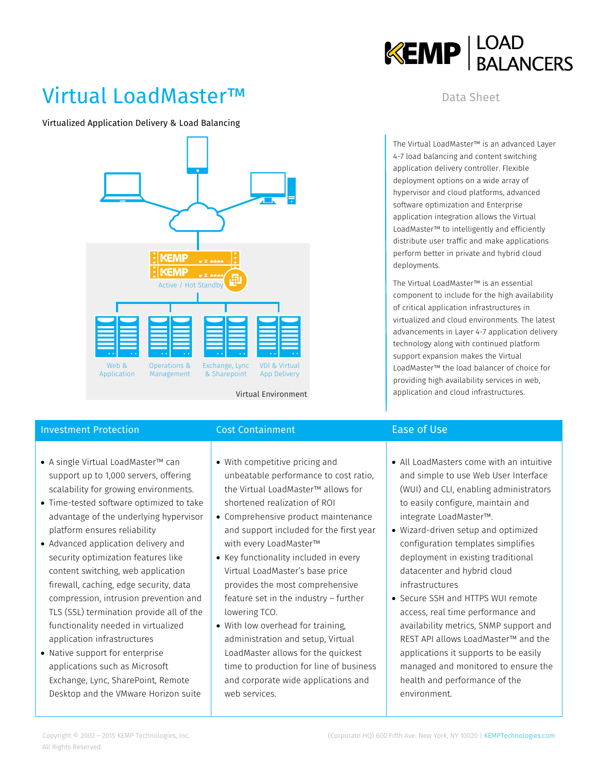

## Virtual LoadMaster™

Virtualized Application Delivery & Load Balancing



## **Investment Protection Cost Containment Cost Containment** Ease of Use

- A single Virtual LoadMaster™ can support up to 1,000 servers, offering scalability for growing environments.
- Time-tested software optimized to take advantage of the underlying hypervisor platform ensures reliability
- Advanced application delivery and security optimization features like content switching, web application firewall, caching, edge security, data compression, intrusion prevention and TLS (SSL) termination provide all of the functionality needed in virtualized application infrastructures
- Native support for enterprise applications such as Microsoft Exchange, Lync, SharePoint, Remote Desktop and the VMware Horizon suite

- With competitive pricing and unbeatable performance to cost ratio, the Virtual LoadMaster™ allows for shortened realization of ROI
- Comprehensive product maintenance and support included for the first year with every LoadMaster™
- Key functionality included in every Virtual LoadMaster's base price provides the most comprehensive feature set in the industry – further lowering TCO.
- With low overhead for training, administration and setup, Virtual LoadMaster allows for the quickest time to production for line of business and corporate wide applications and web services.

### Data Sheet

The Virtual LoadMaster™ is an advanced Layer 4-7 load balancing and content switching application delivery controller. Flexible deployment options on a wide array of hypervisor and cloud platforms, advanced software optimization and Enterprise application integration allows the Virtual LoadMaster™ to intelligently and efficiently distribute user traffic and make applications perform better in private and hybrid cloud deployments.

The Virtual LoadMaster™ is an essential component to include for the high availability of critical application infrastructures in virtualized and cloud environments. The latest advancements in Layer 4-7 application delivery technology along with continued platform support expansion makes the Virtual LoadMaster™ the load balancer of choice for providing high availability services in web, application and cloud infrastructures.

- All LoadMasters come with an intuitive and simple to use Web User Interface (WUI) and CLI, enabling administrators to easily configure, maintain and integrate LoadMaster™.
- Wizard-driven setup and optimized configuration templates simplifies deployment in existing traditional datacenter and hybrid cloud infrastructures
- Secure SSH and HTTPS WUI remote access, real time performance and availability metrics, SNMP support and REST API allows LoadMaster™ and the applications it supports to be easily managed and monitored to ensure the health and performance of the environment.